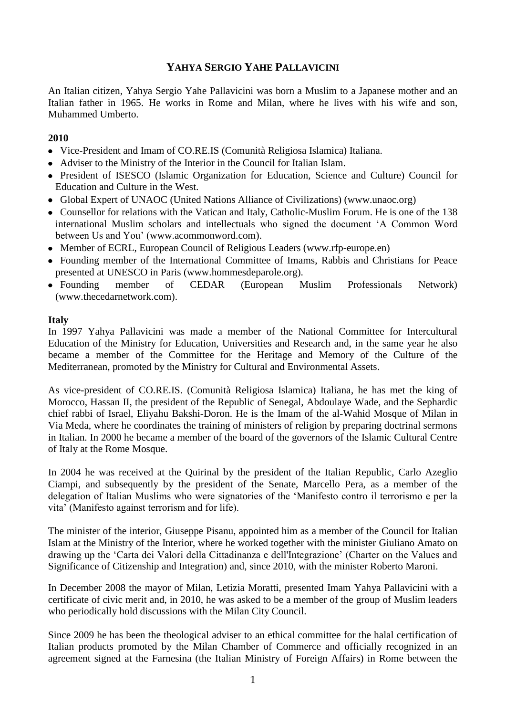# **YAHYA SERGIO YAHE PALLAVICINI**

An Italian citizen, Yahya Sergio Yahe Pallavicini was born a Muslim to a Japanese mother and an Italian father in 1965. He works in Rome and Milan, where he lives with his wife and son, Muhammed Umberto.

# **2010**

- Vice-President and Imam of CO.RE.IS (Comunità Religiosa Islamica) Italiana.
- Adviser to the Ministry of the Interior in the Council for Italian Islam.
- President of ISESCO (Islamic Organization for Education, Science and Culture) Council for Education and Culture in the West.
- Global Expert of UNAOC (United Nations Alliance of Civilizations) [\(www.unaoc.org\)](http://www.unaoc.org/)
- Counsellor for relations with the Vatican and Italy, Catholic-Muslim Forum. He is one of the 138 international Muslim scholars and intellectuals who signed the document 'A Common Word between Us and You' [\(www.acommonword.com\)](http://www.acommonword.com/).
- Member of ECRL, European Council of Religious Leaders [\(www.rfp-europe.en\)](http://www.rfp-europe.en/)
- Founding member of the International Committee of Imams, Rabbis and Christians for Peace presented at UNESCO in Paris [\(www.hommesdeparole.org\)](http://www.hommesde/).
- Founding member of CEDAR (European Muslim Professionals Network) [\(www.thecedarnetwork.com\)](../../../../../../Desktop/www.thecedarnetwork.com).

### **Italy**

In 1997 Yahya Pallavicini was made a member of the National Committee for Intercultural Education of the Ministry for Education, Universities and Research and, in the same year he also became a member of the Committee for the Heritage and Memory of the Culture of the Mediterranean, promoted by the Ministry for Cultural and Environmental Assets.

As vice-president of CO.RE.IS. (Comunità Religiosa Islamica) Italiana, he has met the king of Morocco, Hassan II, the president of the Republic of Senegal, Abdoulaye Wade, and the Sephardic chief rabbi of Israel, Eliyahu Bakshi-Doron. He is the Imam of the al-Wahid Mosque of Milan in Via Meda, where he coordinates the training of ministers of religion by preparing doctrinal sermons in Italian. In 2000 he became a member of the board of the governors of the Islamic Cultural Centre of Italy at the Rome Mosque.

In 2004 he was received at the Quirinal by the president of the Italian Republic, Carlo Azeglio Ciampi, and subsequently by the president of the Senate, Marcello Pera, as a member of the delegation of Italian Muslims who were signatories of the 'Manifesto contro il terrorismo e per la vita' (Manifesto against terrorism and for life).

The minister of the interior, Giuseppe Pisanu, appointed him as a member of the Council for Italian Islam at the Ministry of the Interior, where he worked together with the minister Giuliano Amato on drawing up the 'Carta dei Valori della Cittadinanza e dell'Integrazione' (Charter on the Values and Significance of Citizenship and Integration) and, since 2010, with the minister Roberto Maroni.

In December 2008 the mayor of Milan, Letizia Moratti, presented Imam Yahya Pallavicini with a certificate of civic merit and, in 2010, he was asked to be a member of the group of Muslim leaders who periodically hold discussions with the Milan City Council.

Since 2009 he has been the theological adviser to an ethical committee for the halal certification of Italian products promoted by the Milan Chamber of Commerce and officially recognized in an agreement signed at the Farnesina (the Italian Ministry of Foreign Affairs) in Rome between the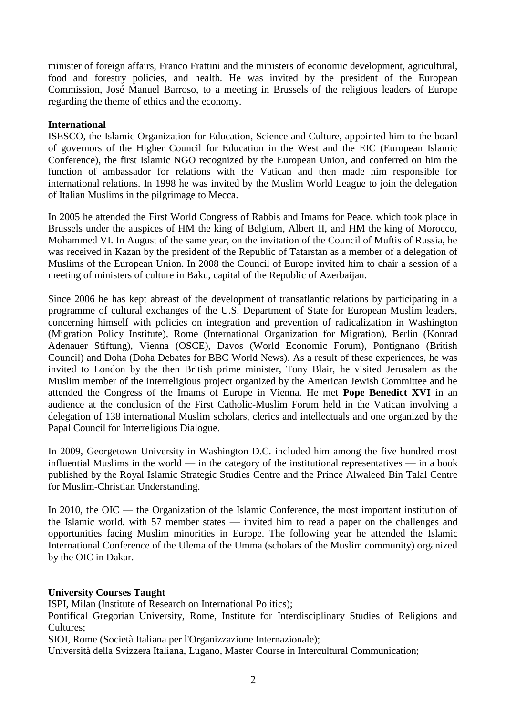minister of foreign affairs, Franco Frattini and the ministers of economic development, agricultural, food and forestry policies, and health. He was invited by the president of the European Commission, José Manuel Barroso, to a meeting in Brussels of the religious leaders of Europe regarding the theme of ethics and the economy.

## **International**

ISESCO, the Islamic Organization for Education, Science and Culture, appointed him to the board of governors of the Higher Council for Education in the West and the EIC (European Islamic Conference), the first Islamic NGO recognized by the European Union, and conferred on him the function of ambassador for relations with the Vatican and then made him responsible for international relations. In 1998 he was invited by the Muslim World League to join the delegation of Italian Muslims in the pilgrimage to Mecca.

In 2005 he attended the First World Congress of Rabbis and Imams for Peace, which took place in Brussels under the auspices of HM the king of Belgium, Albert II, and HM the king of Morocco, Mohammed VI. In August of the same year, on the invitation of the Council of Muftis of Russia, he was received in Kazan by the president of the Republic of Tatarstan as a member of a delegation of Muslims of the European Union. In 2008 the Council of Europe invited him to chair a session of a meeting of ministers of culture in Baku, capital of the Republic of Azerbaijan.

Since 2006 he has kept abreast of the development of transatlantic relations by participating in a programme of cultural exchanges of the U.S. Department of State for European Muslim leaders, concerning himself with policies on integration and prevention of radicalization in Washington (Migration Policy Institute), Rome (International Organization for Migration), Berlin (Konrad Adenauer Stiftung), Vienna (OSCE), Davos (World Economic Forum), Pontignano (British Council) and Doha (Doha Debates for BBC World News). As a result of these experiences, he was invited to London by the then British prime minister, Tony Blair, he visited Jerusalem as the Muslim member of the interreligious project organized by the American Jewish Committee and he attended the Congress of the Imams of Europe in Vienna. He met **Pope Benedict XVI** in an audience at the conclusion of the First Catholic-Muslim Forum held in the Vatican involving a delegation of 138 international Muslim scholars, clerics and intellectuals and one organized by the Papal Council for Interreligious Dialogue.

In 2009, Georgetown University in Washington D.C. included him among the five hundred most influential Muslims in the world — in the category of the institutional representatives — in a book published by the Royal Islamic Strategic Studies Centre and the Prince Alwaleed Bin Talal Centre for Muslim-Christian Understanding.

In 2010, the OIC — the Organization of the Islamic Conference, the most important institution of the Islamic world, with 57 member states — invited him to read a paper on the challenges and opportunities facing Muslim minorities in Europe. The following year he attended the Islamic International Conference of the Ulema of the Umma (scholars of the Muslim community) organized by the OIC in Dakar.

# **University Courses Taught**

ISPI, Milan (Institute of Research on International Politics);

Pontifical Gregorian University, Rome, Institute for Interdisciplinary Studies of Religions and Cultures;

SIOI, Rome (Società Italiana per l'Organizzazione Internazionale);

Università della Svizzera Italiana, Lugano, Master Course in Intercultural Communication;